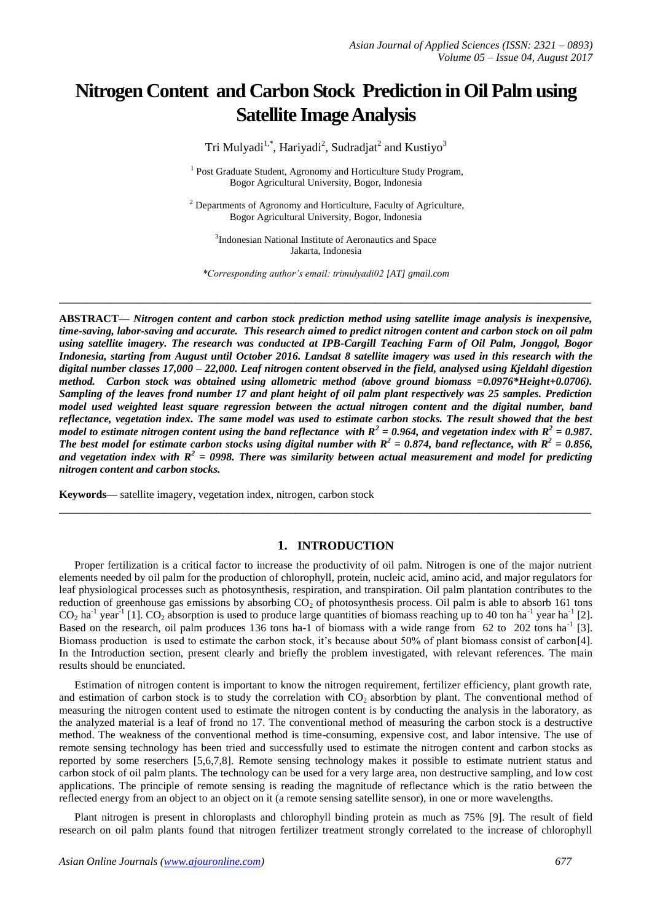# **Nitrogen Content and Carbon Stock Prediction in Oil Palm using Satellite Image Analysis**

Tri Mulyadi $^{1,*}$ , Hariyadi $^{2}$ , Sudradjat $^{2}$  and Kustiyo $^{3}$ 

<sup>1</sup> Post Graduate Student, Agronomy and Horticulture Study Program, Bogor Agricultural University, Bogor, Indonesia

<sup>2</sup> Departments of Agronomy and Horticulture, Faculty of Agriculture, Bogor Agricultural University, Bogor, Indonesia

<sup>3</sup>Indonesian National Institute of Aeronautics and Space Jakarta, Indonesia

*\*Corresponding author's email: trimulyadi02 [AT] gmail.com*

**\_\_\_\_\_\_\_\_\_\_\_\_\_\_\_\_\_\_\_\_\_\_\_\_\_\_\_\_\_\_\_\_\_\_\_\_\_\_\_\_\_\_\_\_\_\_\_\_\_\_\_\_\_\_\_\_\_\_\_\_\_\_\_\_\_\_\_\_\_\_\_\_\_\_\_\_\_\_\_\_\_**

**ABSTRACT—** *Nitrogen content and carbon stock prediction method using satellite image analysis is inexpensive, time-saving, labor-saving and accurate. This research aimed to predict nitrogen content and carbon stock on oil palm using satellite imagery. The research was conducted at IPB-Cargill Teaching Farm of Oil Palm, Jonggol, Bogor Indonesia, starting from August until October 2016. Landsat 8 satellite imagery was used in this research with the digital number classes 17,000 – 22,000. Leaf nitrogen content observed in the field, analysed using Kjeldahl digestion method. Carbon stock was obtained using allometric method (above ground biomass =0.0976\*Height+0.0706). Sampling of the leaves frond number 17 and plant height of oil palm plant respectively was 25 samples. Prediction model used weighted least square regression between the actual nitrogen content and the digital number, band reflectance, vegetation index. The same model was used to estimate carbon stocks. The result showed that the best model to estimate nitrogen content using the band reflectance with*  $R^2$  *= 0.964, and vegetation index with*  $R^2$  *= 0.987. The best model for estimate carbon stocks using digital number with*  $R^2 = 0.874$ *, band reflectance, with*  $R^2 = 0.856$ *, and vegetation index with R<sup>2</sup> = 0998. There was similarity between actual measurement and model for predicting nitrogen content and carbon stocks.* 

**Keywords—** satellite imagery, vegetation index, nitrogen, carbon stock

# **1. INTRODUCTION**

**\_\_\_\_\_\_\_\_\_\_\_\_\_\_\_\_\_\_\_\_\_\_\_\_\_\_\_\_\_\_\_\_\_\_\_\_\_\_\_\_\_\_\_\_\_\_\_\_\_\_\_\_\_\_\_\_\_\_\_\_\_\_\_\_\_\_\_\_\_\_\_\_\_\_\_\_\_\_\_\_\_**

Proper fertilization is a critical factor to increase the productivity of oil palm. Nitrogen is one of the major nutrient elements needed by oil palm for the production of chlorophyll, protein, nucleic acid, amino acid, and major regulators for leaf physiological processes such as photosynthesis, respiration, and transpiration. Oil palm plantation contributes to the reduction of greenhouse gas emissions by absorbing  $CO<sub>2</sub>$  of photosynthesis process. Oil palm is able to absorb 161 tons  $CO_2$  ha<sup>-1</sup> year<sup>-1</sup> [1].  $CO_2$  absorption is used to produce large quantities of biomass reaching up to 40 ton ha<sup>-1</sup> year ha<sup>-1</sup> [2]. Based on the research, oil palm produces 136 tons ha-1 of biomass with a wide range from 62 to 202 tons ha<sup>-1</sup> [3]. Biomass production is used to estimate the carbon stock, it's because about 50% of plant biomass consist of carbon[4]. In the Introduction section, present clearly and briefly the problem investigated, with relevant references. The main results should be enunciated.

Estimation of nitrogen content is important to know the nitrogen requirement, fertilizer efficiency, plant growth rate, and estimation of carbon stock is to study the correlation with CO<sub>2</sub> absorbtion by plant. The conventional method of measuring the nitrogen content used to estimate the nitrogen content is by conducting the analysis in the laboratory, as the analyzed material is a leaf of frond no 17. The conventional method of measuring the carbon stock is a destructive method. The weakness of the conventional method is time-consuming, expensive cost, and labor intensive. The use of remote sensing technology has been tried and successfully used to estimate the nitrogen content and carbon stocks as reported by some reserchers [5,6,7,8]. Remote sensing technology makes it possible to estimate nutrient status and carbon stock of oil palm plants. The technology can be used for a very large area, non destructive sampling, and low cost applications. The principle of remote sensing is reading the magnitude of reflectance which is the ratio between the reflected energy from an object to an object on it (a remote sensing satellite sensor), in one or more wavelengths.

Plant nitrogen is present in chloroplasts and chlorophyll binding protein as much as 75% [9]. The result of field research on oil palm plants found that nitrogen fertilizer treatment strongly correlated to the increase of chlorophyll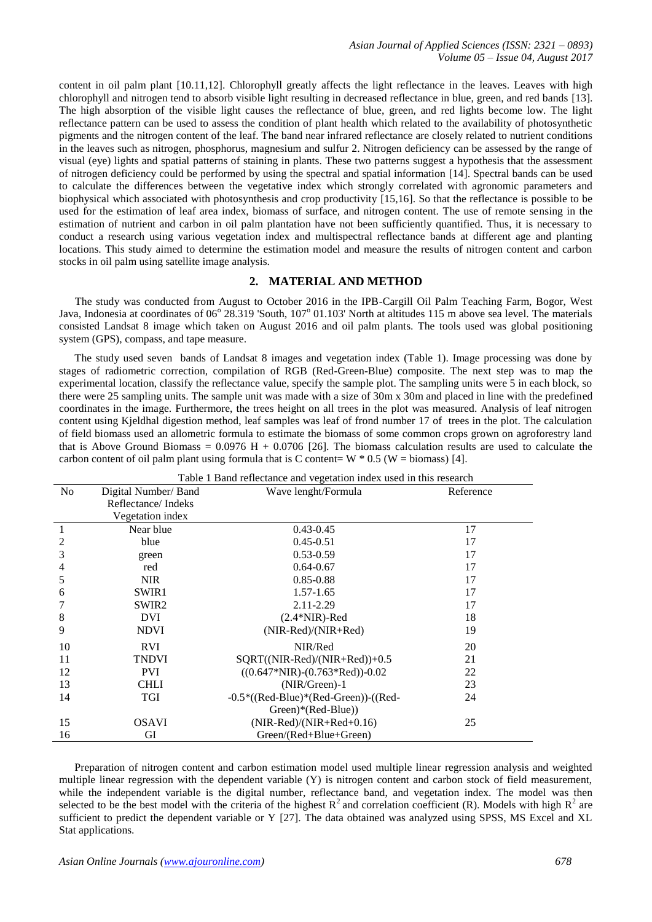content in oil palm plant [10.11,12]. Chlorophyll greatly affects the light reflectance in the leaves. Leaves with high chlorophyll and nitrogen tend to absorb visible light resulting in decreased reflectance in blue, green, and red bands [13]. The high absorption of the visible light causes the reflectance of blue, green, and red lights become low. The light reflectance pattern can be used to assess the condition of plant health which related to the availability of photosynthetic pigments and the nitrogen content of the leaf. The band near infrared reflectance are closely related to nutrient conditions in the leaves such as nitrogen, phosphorus, magnesium and sulfur 2. Nitrogen deficiency can be assessed by the range of visual (eye) lights and spatial patterns of staining in plants. These two patterns suggest a hypothesis that the assessment of nitrogen deficiency could be performed by using the spectral and spatial information [14]. Spectral bands can be used to calculate the differences between the vegetative index which strongly correlated with agronomic parameters and biophysical which associated with photosynthesis and crop productivity [15,16]. So that the reflectance is possible to be used for the estimation of leaf area index, biomass of surface, and nitrogen content. The use of remote sensing in the estimation of nutrient and carbon in oil palm plantation have not been sufficiently quantified. Thus, it is necessary to conduct a research using various vegetation index and multispectral reflectance bands at different age and planting locations. This study aimed to determine the estimation model and measure the results of nitrogen content and carbon stocks in oil palm using satellite image analysis.

# **2. MATERIAL AND METHOD**

The study was conducted from August to October 2016 in the IPB-Cargill Oil Palm Teaching Farm, Bogor, West Java, Indonesia at coordinates of 06° 28.319 'South, 107° 01.103' North at altitudes 115 m above sea level. The materials consisted Landsat 8 image which taken on August 2016 and oil palm plants. The tools used was global positioning system (GPS), compass, and tape measure.

The study used seven bands of Landsat 8 images and vegetation index (Table 1). Image processing was done by stages of radiometric correction, compilation of RGB (Red-Green-Blue) composite. The next step was to map the experimental location, classify the reflectance value, specify the sample plot. The sampling units were 5 in each block, so there were 25 sampling units. The sample unit was made with a size of 30m x 30m and placed in line with the predefined coordinates in the image. Furthermore, the trees height on all trees in the plot was measured. Analysis of leaf nitrogen content using Kjeldhal digestion method, leaf samples was leaf of frond number 17 of trees in the plot. The calculation of field biomass used an allometric formula to estimate the biomass of some common crops grown on agroforestry land that is Above Ground Biomass =  $0.0976$  H + 0.0706 [26]. The biomass calculation results are used to calculate the carbon content of oil palm plant using formula that is C content=  $W * 0.5$  (W = biomass) [4].

| Table 1 Band reflectance and vegetation index used in this research |                      |                                         |           |  |  |  |
|---------------------------------------------------------------------|----------------------|-----------------------------------------|-----------|--|--|--|
| N <sub>0</sub>                                                      | Digital Number/ Band | Wave lenght/Formula                     | Reference |  |  |  |
|                                                                     | Reflectance/Indeks   |                                         |           |  |  |  |
|                                                                     | Vegetation index     |                                         |           |  |  |  |
| 1                                                                   | Near blue            | $0.43 - 0.45$                           | 17        |  |  |  |
| 2                                                                   | blue                 | $0.45 - 0.51$                           | 17        |  |  |  |
| 3                                                                   | green                | $0.53 - 0.59$                           | 17        |  |  |  |
| $\overline{4}$                                                      | red                  | $0.64 - 0.67$                           | 17        |  |  |  |
| 5                                                                   | <b>NIR</b>           | $0.85 - 0.88$                           | 17        |  |  |  |
| 6                                                                   | SWIR1                | 1.57-1.65                               | 17        |  |  |  |
|                                                                     | SWIR <sub>2</sub>    | 2.11-2.29                               | 17        |  |  |  |
| 8                                                                   | DVI                  | $(2.4*NIR)$ -Red                        | 18        |  |  |  |
| 9                                                                   | <b>NDVI</b>          | $(NIR-Red)/(NIR+Red)$                   | 19        |  |  |  |
| 10                                                                  | <b>RVI</b>           | NIR/Red                                 | 20        |  |  |  |
| 11                                                                  | <b>TNDVI</b>         | SQRT((NIR-Red)/(NIR+Red))+0.5           | 21        |  |  |  |
| 12                                                                  | <b>PVI</b>           | $((0.647*NIR)-(0.763*Ned))-0.02$        | 22        |  |  |  |
| 13                                                                  | <b>CHLI</b>          | $(NIR/Green)-1$                         | 23        |  |  |  |
| 14                                                                  | TGI                  | $-0.5*($ (Red-Blue)*(Red-Green))-((Red- | 24        |  |  |  |
|                                                                     |                      | Green)*(Red-Blue))                      |           |  |  |  |
| 15                                                                  | <b>OSAVI</b>         | $(NIR-Red)/(NIR+Red+0.16)$              | 25        |  |  |  |
| 16                                                                  | GI                   | Green/(Red+Blue+Green)                  |           |  |  |  |

Preparation of nitrogen content and carbon estimation model used multiple linear regression analysis and weighted multiple linear regression with the dependent variable (Y) is nitrogen content and carbon stock of field measurement, while the independent variable is the digital number, reflectance band, and vegetation index. The model was then selected to be the best model with the criteria of the highest  $R^2$  and correlation coefficient (R). Models with high  $R^2$  are sufficient to predict the dependent variable or Y [27]. The data obtained was analyzed using SPSS, MS Excel and XL Stat applications.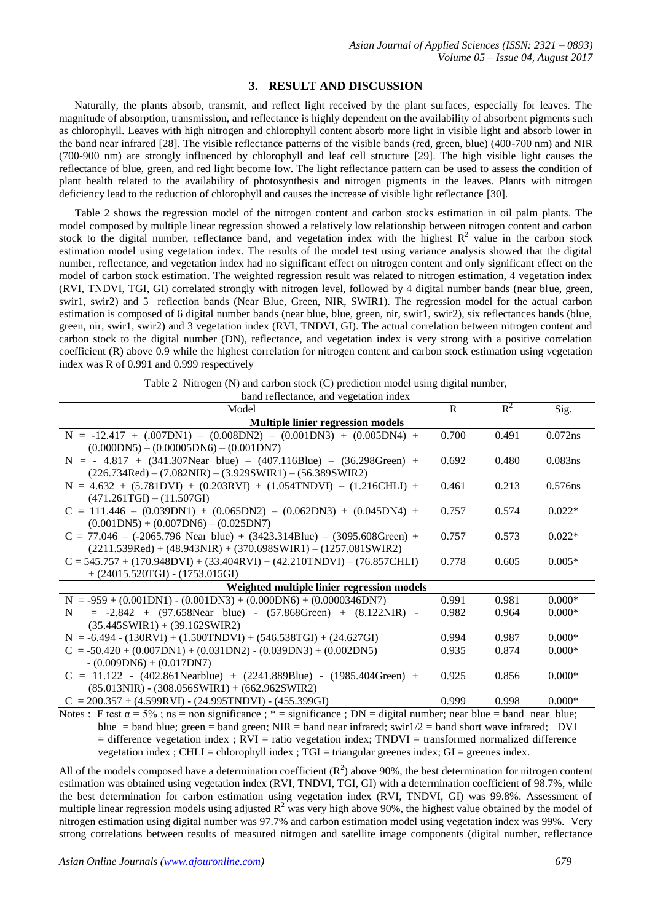#### **3. RESULT AND DISCUSSION**

Naturally, the plants absorb, transmit, and reflect light received by the plant surfaces, especially for leaves. The magnitude of absorption, transmission, and reflectance is highly dependent on the availability of absorbent pigments such as chlorophyll. Leaves with high nitrogen and chlorophyll content absorb more light in visible light and absorb lower in the band near infrared [28]. The visible reflectance patterns of the visible bands (red, green, blue) (400-700 nm) and NIR (700-900 nm) are strongly influenced by chlorophyll and leaf cell structure [29]. The high visible light causes the reflectance of blue, green, and red light become low. The light reflectance pattern can be used to assess the condition of plant health related to the availability of photosynthesis and nitrogen pigments in the leaves. Plants with nitrogen deficiency lead to the reduction of chlorophyll and causes the increase of visible light reflectance [30].

Table 2 shows the regression model of the nitrogen content and carbon stocks estimation in oil palm plants. The model composed by multiple linear regression showed a relatively low relationship between nitrogen content and carbon stock to the digital number, reflectance band, and vegetation index with the highest  $R^2$  value in the carbon stock estimation model using vegetation index. The results of the model test using variance analysis showed that the digital number, reflectance, and vegetation index had no significant effect on nitrogen content and only significant effect on the model of carbon stock estimation. The weighted regression result was related to nitrogen estimation, 4 vegetation index (RVI, TNDVI, TGI, GI) correlated strongly with nitrogen level, followed by 4 digital number bands (near blue, green, swir1, swir2) and 5 reflection bands (Near Blue, Green, NIR, SWIR1). The regression model for the actual carbon estimation is composed of 6 digital number bands (near blue, blue, green, nir, swir1, swir2), six reflectances bands (blue, green, nir, swir1, swir2) and 3 vegetation index (RVI, TNDVI, GI). The actual correlation between nitrogen content and carbon stock to the digital number (DN), reflectance, and vegetation index is very strong with a positive correlation coefficient (R) above 0.9 while the highest correlation for nitrogen content and carbon stock estimation using vegetation index was R of 0.991 and 0.999 respectively

|  |  | Table 2 Nitrogen (N) and carbon stock (C) prediction model using digital number, |  |  |
|--|--|----------------------------------------------------------------------------------|--|--|
|  |  |                                                                                  |  |  |

| Model                                                                                                                       | $\mathsf{R}$ | $R^2$ | Sig.       |  |  |  |  |
|-----------------------------------------------------------------------------------------------------------------------------|--------------|-------|------------|--|--|--|--|
| Multiple linier regression models                                                                                           |              |       |            |  |  |  |  |
| $N = -12.417 + (.007DN1) - (0.008DN2) - (0.001DN3) + (0.005DN4) +$                                                          | 0.700        | 0.491 | $0.072$ ns |  |  |  |  |
| $(0.000DN5) - (0.00005DN6) - (0.001DN7)$                                                                                    |              |       |            |  |  |  |  |
| $N = -4.817 + (341.307$ Near blue) - $(407.116$ Blue) - $(36.298$ Green) +                                                  | 0.692        | 0.480 | 0.083ns    |  |  |  |  |
| $(226.734Red) - (7.082NIR) - (3.929SWIR1) - (56.389SWIR2)$                                                                  |              |       |            |  |  |  |  |
| $N = 4.632 + (5.781DVI) + (0.203RVI) + (1.054TNDVI) - (1.216CHLI) +$                                                        | 0.461        | 0.213 | 0.576ns    |  |  |  |  |
| $(471.261TGI) - (11.507GI)$                                                                                                 |              |       |            |  |  |  |  |
| $C = 111.446 - (0.039DN1) + (0.065DN2) - (0.062DN3) + (0.045DN4) +$                                                         | 0.757        | 0.574 | $0.022*$   |  |  |  |  |
| $(0.001DN5) + (0.007DN6) - (0.025DN7)$                                                                                      |              |       |            |  |  |  |  |
| $C = 77.046 - (-2065.796$ Near blue) + $(3423.314B$ lue) - $(3095.608$ Green) +                                             | 0.757        | 0.573 | $0.022*$   |  |  |  |  |
| $(2211.539Red) + (48.943NIR) + (370.698SWIR1) - (1257.081SWIR2)$                                                            |              |       |            |  |  |  |  |
| $C = 545.757 + (170.948DVI) + (33.404RVI) + (42.210TNDVI) - (76.857CHLI)$                                                   | 0.778        | 0.605 | $0.005*$   |  |  |  |  |
| $+ (24015.520TGI) - (1753.015GI)$                                                                                           |              |       |            |  |  |  |  |
| Weighted multiple linier regression models                                                                                  |              |       |            |  |  |  |  |
| $N = -959 + (0.001DN1) - (0.001DN3) + (0.000DN6) + (0.0000346DN7)$                                                          | 0.991        | 0.981 | $0.000*$   |  |  |  |  |
| $= -2.842 + (97.658$ Near blue) - $(57.868$ Green) + $(8.122$ NIR) -<br>N                                                   | 0.982        | 0.964 | $0.000*$   |  |  |  |  |
| $(35.445SWIR1) + (39.162SWIR2)$                                                                                             |              |       |            |  |  |  |  |
| $N = -6.494 - (130RVI) + (1.500TNDVI) + (546.538TGI) + (24.627GI)$                                                          | 0.994        | 0.987 | $0.000*$   |  |  |  |  |
| $C = -50.420 + (0.007DN1) + (0.031DN2) - (0.039DN3) + (0.002DN5)$                                                           | 0.935        | 0.874 | $0.000*$   |  |  |  |  |
| $-(0.009DN6) + (0.017DN7)$                                                                                                  |              |       |            |  |  |  |  |
| $C = 11.122 - (402.861$ Nearblue) + $(2241.889$ Blue) - $(1985.404$ Green) +                                                | 0.925        | 0.856 | $0.000*$   |  |  |  |  |
| $(85.013NIR) - (308.056SWIR1) + (662.962SWIR2)$                                                                             |              |       |            |  |  |  |  |
| $C = 200.357 + (4.599RVI) - (24.995TNDVI) - (455.399GI)$                                                                    | 0.999        | 0.998 | $0.000*$   |  |  |  |  |
| Notes : F test $\alpha = 5\%$ ; ns = non significance ; * = significance ; DN = digital number; near blue = band near blue; |              |       |            |  |  |  |  |

blue = band blue; green = band green; NIR = band near infrared; swir1/2 = band short wave infrared; DVI  $=$  difference vegetation index ; RVI = ratio vegetation index; TNDVI = transformed normalized difference vegetation index ; CHLI = chlorophyll index ; TGI = triangular greenes index; GI = greenes index.

All of the models composed have a determination coefficient  $(R^2)$  above 90%, the best determination for nitrogen content estimation was obtained using vegetation index (RVI, TNDVI, TGI, GI) with a determination coefficient of 98.7%, while the best determination for carbon estimation using vegetation index (RVI, TNDVI, GI) was 99.8%. Assessment of multiple linear regression models using adjusted  $R^2$  was very high above 90%, the highest value obtained by the model of nitrogen estimation using digital number was 97.7% and carbon estimation model using vegetation index was 99%. Very strong correlations between results of measured nitrogen and satellite image components (digital number, reflectance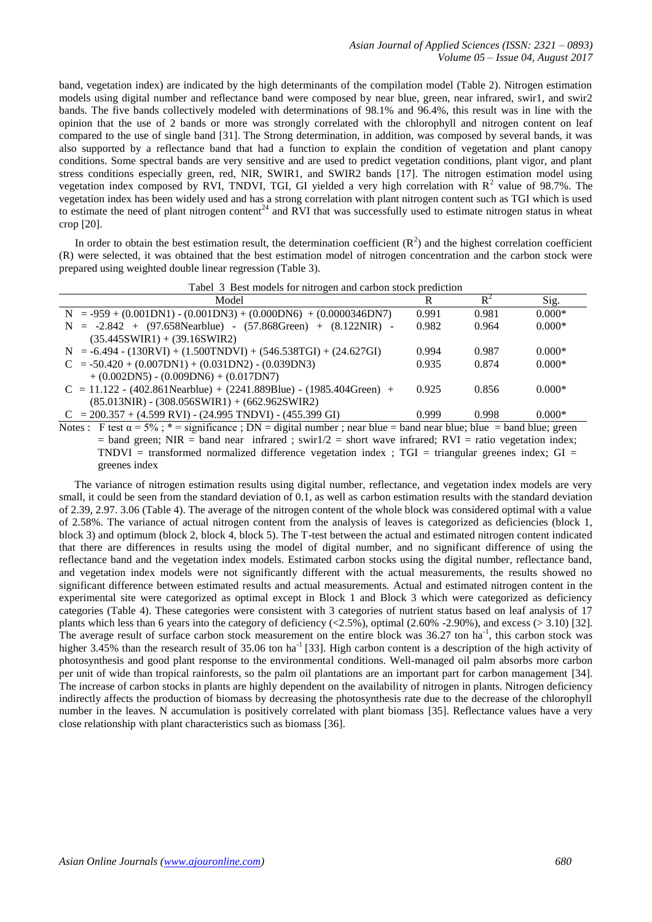band, vegetation index) are indicated by the high determinants of the compilation model (Table 2). Nitrogen estimation models using digital number and reflectance band were composed by near blue, green, near infrared, swir1, and swir2 bands. The five bands collectively modeled with determinations of 98.1% and 96.4%, this result was in line with the opinion that the use of 2 bands or more was strongly correlated with the chlorophyll and nitrogen content on leaf compared to the use of single band [31]. The Strong determination, in addition, was composed by several bands, it was also supported by a reflectance band that had a function to explain the condition of vegetation and plant canopy conditions. Some spectral bands are very sensitive and are used to predict vegetation conditions, plant vigor, and plant stress conditions especially green, red, NIR, SWIR1, and SWIR2 bands [17]. The nitrogen estimation model using vegetation index composed by RVI, TNDVI, TGI, GI yielded a very high correlation with  $R^2$  value of 98.7%. The vegetation index has been widely used and has a strong correlation with plant nitrogen content such as TGI which is used to estimate the need of plant nitrogen content<sup>24</sup> and RVI that was successfully used to estimate nitrogen status in wheat crop [20].

In order to obtain the best estimation result, the determination coefficient  $(R^2)$  and the highest correlation coefficient (R) were selected, it was obtained that the best estimation model of nitrogen concentration and the carbon stock were prepared using weighted double linear regression (Table 3).

|  |  | Tabel 3 Best models for nitrogen and carbon stock prediction |  |  |  |  |
|--|--|--------------------------------------------------------------|--|--|--|--|
|--|--|--------------------------------------------------------------|--|--|--|--|

| Model                                                                               | R     | $R^2$ | Sig.     |
|-------------------------------------------------------------------------------------|-------|-------|----------|
| $N = -959 + (0.001DN1) - (0.001DN3) + (0.000DN6) + (0.0000346DN7)$                  | 0.991 | 0.981 | $0.000*$ |
| $N = -2.842 + (97.658$ Nearblue) - $(57.868$ Green) + $(8.122$ NIR) -               | 0.982 | 0.964 | $0.000*$ |
| $(35.445SWIR1) + (39.16SWIR2)$                                                      |       |       |          |
| $N = -6.494 - (130RVI) + (1.500TNDVI) + (546.538TGI) + (24.627GI)$                  | 0.994 | 0.987 | $0.000*$ |
| $C = -50.420 + (0.007DN1) + (0.031DN2) - (0.039DN3)$                                | 0.935 | 0.874 | $0.000*$ |
| $+(0.002DN5) - (0.009DN6) + (0.017DN7)$                                             |       |       |          |
| $C = 11.122 - (402.861$ Nearblue) + (2241.889Blue) - (1985.404Green) +              | 0.925 | 0.856 | $0.000*$ |
| $(85.013NIR) - (308.056SWIR1) + (662.962SWIR2)$                                     |       |       |          |
| $C = 200.357 + (4.599 \text{ RVI}) - (24.995 \text{ TNDVI}) - (455.399 \text{ GI})$ | 0.999 | 0.998 | $0.000*$ |

Notes : F test  $\alpha = 5\%$ ; \* = significance ; DN = digital number ; near blue = band near blue; blue = band blue; green  $=$  band green; NIR  $=$  band near infrared ; swir1/2  $=$  short wave infrared; RVI  $=$  ratio vegetation index; TNDVI = transformed normalized difference vegetation index ; TGI = triangular greenes index; GI = greenes index

The variance of nitrogen estimation results using digital number, reflectance, and vegetation index models are very small, it could be seen from the standard deviation of 0.1, as well as carbon estimation results with the standard deviation of 2.39, 2.97. 3.06 (Table 4). The average of the nitrogen content of the whole block was considered optimal with a value of 2.58%. The variance of actual nitrogen content from the analysis of leaves is categorized as deficiencies (block 1, block 3) and optimum (block 2, block 4, block 5). The T-test between the actual and estimated nitrogen content indicated that there are differences in results using the model of digital number, and no significant difference of using the reflectance band and the vegetation index models. Estimated carbon stocks using the digital number, reflectance band, and vegetation index models were not significantly different with the actual measurements, the results showed no significant difference between estimated results and actual measurements. Actual and estimated nitrogen content in the experimental site were categorized as optimal except in Block 1 and Block 3 which were categorized as deficiency categories (Table 4). These categories were consistent with 3 categories of nutrient status based on leaf analysis of 17 plants which less than 6 years into the category of deficiency  $\langle$  <2.5%), optimal (2.60% -2.90%), and excess (> 3.10) [32]. The average result of surface carbon stock measurement on the entire block was 36.27 ton ha<sup>-1</sup>, this carbon stock was higher 3.45% than the research result of 35.06 ton ha<sup>-1</sup> [33]. High carbon content is a description of the high activity of photosynthesis and good plant response to the environmental conditions. Well-managed oil palm absorbs more carbon per unit of wide than tropical rainforests, so the palm oil plantations are an important part for carbon management [34]. The increase of carbon stocks in plants are highly dependent on the availability of nitrogen in plants. Nitrogen deficiency indirectly affects the production of biomass by decreasing the photosynthesis rate due to the decrease of the chlorophyll number in the leaves. N accumulation is positively correlated with plant biomass [35]. Reflectance values have a very close relationship with plant characteristics such as biomass [36].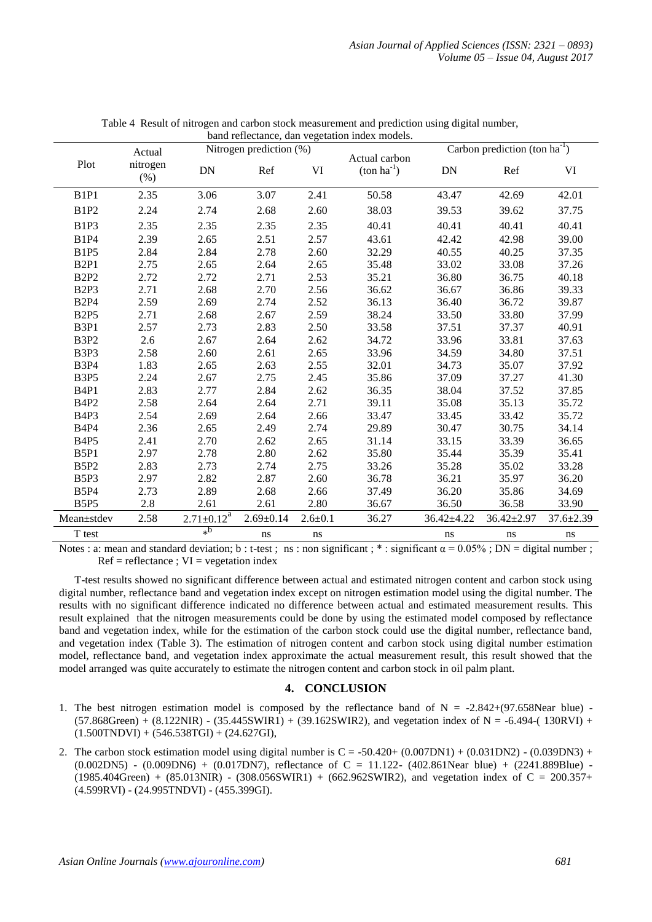| band reflectance, dan vegetation index models. |                  |                         |                 |               |                                         |                                    |                  |                 |  |
|------------------------------------------------|------------------|-------------------------|-----------------|---------------|-----------------------------------------|------------------------------------|------------------|-----------------|--|
|                                                | Actual           | Nitrogen prediction (%) |                 |               |                                         | Carbon prediction (ton $ha^{-1}$ ) |                  |                 |  |
| Plot                                           | nitrogen<br>(% ) | <b>DN</b>               | Ref             | VI            | Actual carbon<br>$(\text{ton ha}^{-1})$ | <b>DN</b>                          | Ref              | VI              |  |
| B <sub>1</sub> P <sub>1</sub>                  | 2.35             | 3.06                    | 3.07            | 2.41          | 50.58                                   | 43.47                              | 42.69            | 42.01           |  |
| <b>B1P2</b>                                    | 2.24             | 2.74                    | 2.68            | 2.60          | 38.03                                   | 39.53                              | 39.62            | 37.75           |  |
| B <sub>1P3</sub>                               | 2.35             | 2.35                    | 2.35            | 2.35          | 40.41                                   | 40.41                              | 40.41            | 40.41           |  |
| <b>B1P4</b>                                    | 2.39             | 2.65                    | 2.51            | 2.57          | 43.61                                   | 42.42                              | 42.98            | 39.00           |  |
| <b>B1P5</b>                                    | 2.84             | 2.84                    | 2.78            | 2.60          | 32.29                                   | 40.55                              | 40.25            | 37.35           |  |
| B <sub>2P1</sub>                               | 2.75             | 2.65                    | 2.64            | 2.65          | 35.48                                   | 33.02                              | 33.08            | 37.26           |  |
| <b>B2P2</b>                                    | 2.72             | 2.72                    | 2.71            | 2.53          | 35.21                                   | 36.80                              | 36.75            | 40.18           |  |
| B <sub>2P3</sub>                               | 2.71             | 2.68                    | 2.70            | 2.56          | 36.62                                   | 36.67                              | 36.86            | 39.33           |  |
| <b>B2P4</b>                                    | 2.59             | 2.69                    | 2.74            | 2.52          | 36.13                                   | 36.40                              | 36.72            | 39.87           |  |
| <b>B2P5</b>                                    | 2.71             | 2.68                    | 2.67            | 2.59          | 38.24                                   | 33.50                              | 33.80            | 37.99           |  |
| B3P1                                           | 2.57             | 2.73                    | 2.83            | 2.50          | 33.58                                   | 37.51                              | 37.37            | 40.91           |  |
| B <sub>3</sub> P <sub>2</sub>                  | 2.6              | 2.67                    | 2.64            | 2.62          | 34.72                                   | 33.96                              | 33.81            | 37.63           |  |
| B3P3                                           | 2.58             | 2.60                    | 2.61            | 2.65          | 33.96                                   | 34.59                              | 34.80            | 37.51           |  |
| <b>B3P4</b>                                    | 1.83             | 2.65                    | 2.63            | 2.55          | 32.01                                   | 34.73                              | 35.07            | 37.92           |  |
| B <sub>3</sub> P <sub>5</sub>                  | 2.24             | 2.67                    | 2.75            | 2.45          | 35.86                                   | 37.09                              | 37.27            | 41.30           |  |
| B <sub>4</sub> P <sub>1</sub>                  | 2.83             | 2.77                    | 2.84            | 2.62          | 36.35                                   | 38.04                              | 37.52            | 37.85           |  |
| <b>B4P2</b>                                    | 2.58             | 2.64                    | 2.64            | 2.71          | 39.11                                   | 35.08                              | 35.13            | 35.72           |  |
| B <sub>4P3</sub>                               | 2.54             | 2.69                    | 2.64            | 2.66          | 33.47                                   | 33.45                              | 33.42            | 35.72           |  |
| <b>B4P4</b>                                    | 2.36             | 2.65                    | 2.49            | 2.74          | 29.89                                   | 30.47                              | 30.75            | 34.14           |  |
| <b>B4P5</b>                                    | 2.41             | 2.70                    | 2.62            | 2.65          | 31.14                                   | 33.15                              | 33.39            | 36.65           |  |
| B5P1                                           | 2.97             | 2.78                    | 2.80            | 2.62          | 35.80                                   | 35.44                              | 35.39            | 35.41           |  |
| B5P2                                           | 2.83             | 2.73                    | 2.74            | 2.75          | 33.26                                   | 35.28                              | 35.02            | 33.28           |  |
| B5P3                                           | 2.97             | 2.82                    | 2.87            | 2.60          | 36.78                                   | 36.21                              | 35.97            | 36.20           |  |
| <b>B5P4</b>                                    | 2.73             | 2.89                    | 2.68            | 2.66          | 37.49                                   | 36.20                              | 35.86            | 34.69           |  |
| <b>B5P5</b>                                    | 2.8              | 2.61                    | 2.61            | 2.80          | 36.67                                   | 36.50                              | 36.58            | 33.90           |  |
| Mean±stdev                                     | 2.58             | $2.71 \pm 0.12^a$       | $2.69 \pm 0.14$ | $2.6 \pm 0.1$ | 36.27                                   | $36.42 \pm 4.22$                   | $36.42 \pm 2.97$ | $37.6 \pm 2.39$ |  |
| T test                                         |                  | $*^{\mathbf{b}}$        | ns              | ns            |                                         | ns                                 | ns               | ns              |  |

Table 4 Result of nitrogen and carbon stock measurement and prediction using digital number,

Notes : a: mean and standard deviation; b : t-test ; ns : non significant ; \* : significant  $\alpha = 0.05\%$ ; DN = digital number ;  $Ref = reflectance$ ;  $VI = vegetation index$ 

T-test results showed no significant difference between actual and estimated nitrogen content and carbon stock using digital number, reflectance band and vegetation index except on nitrogen estimation model using the digital number. The results with no significant difference indicated no difference between actual and estimated measurement results. This result explained that the nitrogen measurements could be done by using the estimated model composed by reflectance band and vegetation index, while for the estimation of the carbon stock could use the digital number, reflectance band, and vegetation index (Table 3). The estimation of nitrogen content and carbon stock using digital number estimation model, reflectance band, and vegetation index approximate the actual measurement result, this result showed that the model arranged was quite accurately to estimate the nitrogen content and carbon stock in oil palm plant.

# **4. CONCLUSION**

- 1. The best nitrogen estimation model is composed by the reflectance band of  $N = -2.842+(97.658)$ Near blue) - $(57.868$ Green) +  $(8.122$ NIR) -  $(35.445$ SWIR1) +  $(39.162$ SWIR2), and vegetation index of N = -6.494- $(130$ RVI) +  $(1.500TNDVI) + (546.538TGI) + (24.627GI),$
- 2. The carbon stock estimation model using digital number is  $C = -50.420 + (0.007DN1) + (0.031DN2) (0.039DN3) +$  $(0.002DN5)$  -  $(0.009DN6)$  +  $(0.017DN7)$ , reflectance of C = 11.122-  $(402.861Near blue)$  +  $(2241.889Blue)$  - $(1985.404Green) + (85.013NIR) - (308.056SWIR1) + (662.962SWIR2)$ , and vegetation index of C = 200.357+ (4.599RVI) - (24.995TNDVI) - (455.399GI).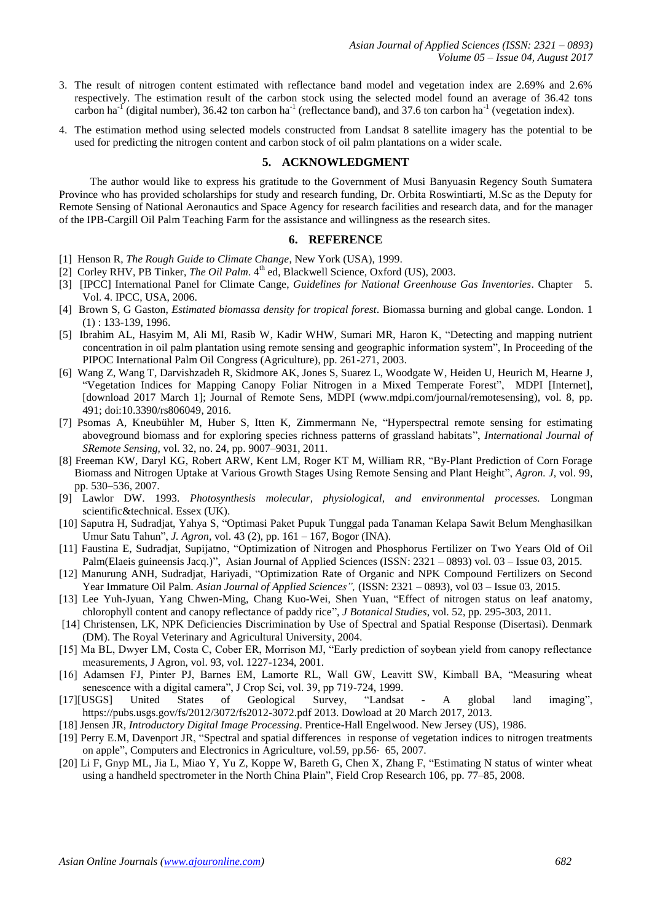- 3. The result of nitrogen content estimated with reflectance band model and vegetation index are 2.69% and 2.6% respectively. The estimation result of the carbon stock using the selected model found an average of 36.42 tons carbon ha<sup>-1</sup> (digital number), 36.42 ton carbon ha<sup>-1</sup> (reflectance band), and 37.6 ton carbon ha<sup>-1</sup> (vegetation index).
- 4. The estimation method using selected models constructed from Landsat 8 satellite imagery has the potential to be used for predicting the nitrogen content and carbon stock of oil palm plantations on a wider scale.

## **5. ACKNOWLEDGMENT**

The author would like to express his gratitude to the Government of Musi Banyuasin Regency South Sumatera Province who has provided scholarships for study and research funding, Dr. Orbita Roswintiarti, M.Sc as the Deputy for Remote Sensing of National Aeronautics and Space Agency for research facilities and research data, and for the manager of the IPB-Cargill Oil Palm Teaching Farm for the assistance and willingness as the research sites.

## **6. REFERENCE**

- [1] Henson R, *The Rough Guide to Climate Change*, New York (USA), 1999.
- [2] Corley RHV, PB Tinker, *The Oil Palm*. 4<sup>th</sup> ed, Blackwell Science, Oxford (US), 2003.
- [3] [IPCC] International Panel for Climate Cange, *Guidelines for National Greenhouse Gas Inventories*. Chapter 5. Vol. 4. IPCC, USA, 2006.
- [4] Brown S, G Gaston, *Estimated biomassa density for tropical forest*. Biomassa burning and global cange. London. 1 (1) : 133-139, 1996.
- [5] Ibrahim AL, Hasyim M, Ali MI, Rasib W, Kadir WHW, Sumari MR, Haron K, "Detecting and mapping nutrient concentration in oil palm plantation using remote sensing and geographic information system", In Proceeding of the PIPOC International Palm Oil Congress (Agriculture), pp. 261-271, 2003.
- [6] Wang Z, Wang T, Darvishzadeh R, Skidmore AK, Jones S, Suarez L, Woodgate W, Heiden U, Heurich M, Hearne J, "Vegetation Indices for Mapping Canopy Foliar Nitrogen in a Mixed Temperate Forest", MDPI [Internet], [download 2017 March 1]; Journal of Remote Sens, MDPI [\(www.mdpi.com/journal/remotesensing\)](http://www.mdpi.com/journal/remotesensing), vol. 8, pp. 491; doi:10.3390/rs806049, 2016.
- [7] Psomas A, Kneubühler M, Huber S, Itten K, Zimmermann Ne, "Hyperspectral remote sensing for estimating aboveground biomass and for exploring species richness patterns of grassland habitats", *International Journal of SRemote Sensing,* vol. 32, no. 24, pp. 9007–9031, 2011.
- [8] Freeman KW, Daryl KG, Robert ARW, Kent LM, Roger KT M, William RR, "By-Plant Prediction of Corn Forage Biomass and Nitrogen Uptake at Various Growth Stages Using Remote Sensing and Plant Height", *Agron. J*, vol. 99, pp. 530–536, 2007.
- [9] Lawlor DW. 1993. *Photosynthesis molecular, physiological, and environmental processes.* Longman scientific&technical. Essex (UK).
- [10] Saputra H, Sudradjat, Yahya S, "Optimasi Paket Pupuk Tunggal pada Tanaman Kelapa Sawit Belum Menghasilkan Umur Satu Tahun", *J. Agron,* vol. 43 (2), pp. 161 – 167, Bogor (INA).
- [11] Faustina E, Sudradjat, Supijatno, "Optimization of Nitrogen and Phosphorus Fertilizer on Two Years Old of Oil Palm(Elaeis guineensis Jacq.)", Asian Journal of Applied Sciences (ISSN: 2321 – 0893) vol. 03 – Issue 03, 2015.
- [12] Manurung ANH, Sudradjat, Hariyadi, "Optimization Rate of Organic and NPK Compound Fertilizers on Second Year Immature Oil Palm. *Asian Journal of Applied Sciences",* (ISSN: 2321 – 0893), vol 03 – Issue 03, 2015.
- [13] Lee Yuh-Jyuan, Yang Chwen-Ming, Chang Kuo-Wei, Shen Yuan, "Effect of nitrogen status on leaf anatomy, chlorophyll content and canopy reflectance of paddy rice", *J Botanical Studies*, vol. 52, pp. 295-303, 2011.
- [14] Christensen, LK, NPK Deficiencies Discrimination by Use of Spectral and Spatial Response (Disertasi). Denmark (DM). The Royal Veterinary and Agricultural University, 2004.
- [15] Ma BL, Dwyer LM, Costa C, Cober ER, Morrison MJ, "Early prediction of soybean yield from canopy reflectance measurements, J Agron, vol. 93, vol. 1227-1234, 2001.
- [16] Adamsen FJ, Pinter PJ, Barnes EM, Lamorte RL, Wall GW, Leavitt SW, Kimball BA, "Measuring wheat senescence with a digital camera", J Crop Sci, vol. 39, pp 719-724, 1999.
- [17][USGS] United States of Geological Survey, "Landsat A global land imaging", [https://pubs.usgs.gov/fs/2012/3072/fs2012-3072.pdf 2013.](https://pubs.usgs.gov/fs/2012/3072/fs2012-3072.pdf%202013) Dowload at 20 March 2017, 2013.
- [18] Jensen JR, *Introductory Digital Image Processing*. Prentice-Hall Engelwood. New Jersey (US), 1986.
- [19] Perry E.M, Davenport JR, "Spectral and spatial differences in response of vegetation indices to nitrogen treatments on apple", Computers and Electronics in Agriculture, vol.59, pp.56‑ 65, 2007.
- [20] Li F, Gnyp ML, Jia L, Miao Y, Yu Z, Koppe W, Bareth G, Chen X, Zhang F, "Estimating N status of winter wheat using a handheld spectrometer in the North China Plain", Field Crop Research 106, pp. 77–85, 2008.